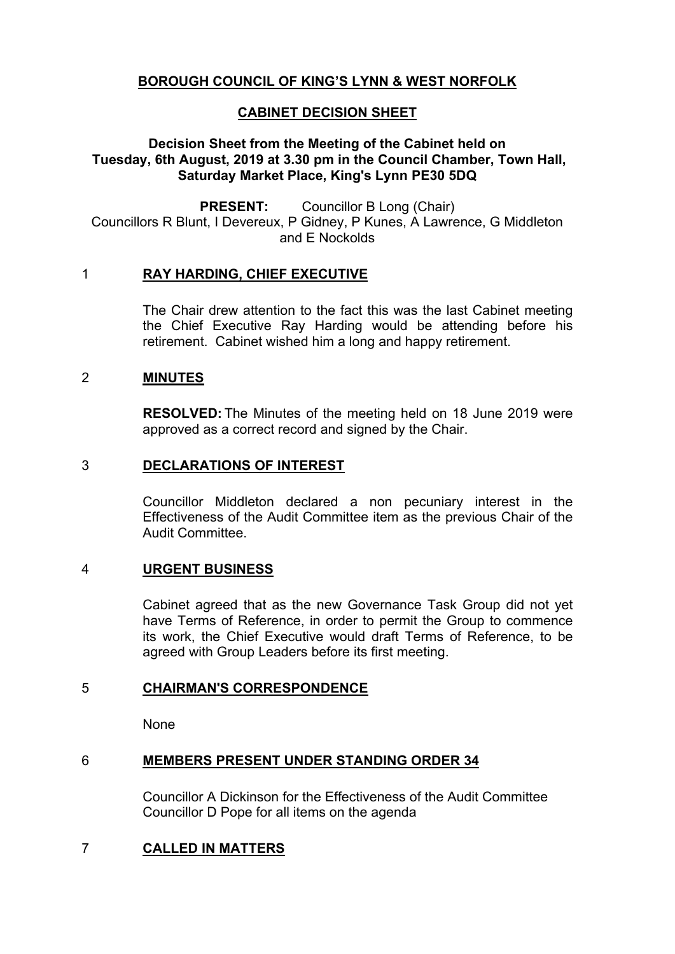# **BOROUGH COUNCIL OF KING'S LYNN & WEST NORFOLK**

# **CABINET DECISION SHEET**

# **Decision Sheet from the Meeting of the Cabinet held on Tuesday, 6th August, 2019 at 3.30 pm in the Council Chamber, Town Hall, Saturday Market Place, King's Lynn PE30 5DQ**

**PRESENT:** Councillor B Long (Chair) Councillors R Blunt, I Devereux, P Gidney, P Kunes, A Lawrence, G Middleton and E Nockolds

### 1 **RAY HARDING, CHIEF EXECUTIVE**

The Chair drew attention to the fact this was the last Cabinet meeting the Chief Executive Ray Harding would be attending before his retirement. Cabinet wished him a long and happy retirement.

### 2 **MINUTES**

**RESOLVED:** The Minutes of the meeting held on 18 June 2019 were approved as a correct record and signed by the Chair.

# 3 **DECLARATIONS OF INTEREST**

Councillor Middleton declared a non pecuniary interest in the Effectiveness of the Audit Committee item as the previous Chair of the Audit Committee.

# 4 **URGENT BUSINESS**

Cabinet agreed that as the new Governance Task Group did not yet have Terms of Reference, in order to permit the Group to commence its work, the Chief Executive would draft Terms of Reference, to be agreed with Group Leaders before its first meeting.

### 5 **CHAIRMAN'S CORRESPONDENCE**

None

# 6 **MEMBERS PRESENT UNDER STANDING ORDER 34**

Councillor A Dickinson for the Effectiveness of the Audit Committee Councillor D Pope for all items on the agenda

# 7 **CALLED IN MATTERS**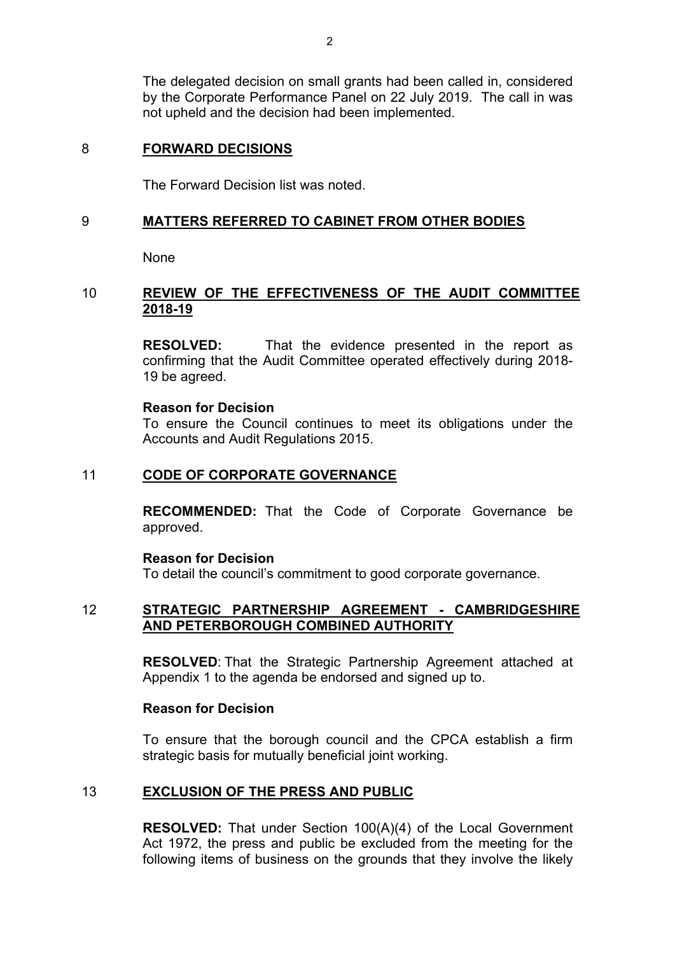The delegated decision on small grants had been called in, considered by the Corporate Performance Panel on 22 July 2019. The call in was not upheld and the decision had been implemented.

### 8 **FORWARD DECISIONS**

The Forward Decision list was noted.

### 9 **MATTERS REFERRED TO CABINET FROM OTHER BODIES**

None

### 10 **REVIEW OF THE EFFECTIVENESS OF THE AUDIT COMMITTEE 2018-19**

**RESOLVED:** That the evidence presented in the report as confirming that the Audit Committee operated effectively during 2018- 19 be agreed.

#### **Reason for Decision**

To ensure the Council continues to meet its obligations under the Accounts and Audit Regulations 2015.

### 11 **CODE OF CORPORATE GOVERNANCE**

**RECOMMENDED:** That the Code of Corporate Governance be approved.

#### **Reason for Decision**

To detail the council's commitment to good corporate governance.

### 12 **STRATEGIC PARTNERSHIP AGREEMENT - CAMBRIDGESHIRE AND PETERBOROUGH COMBINED AUTHORITY**

**RESOLVED**: That the Strategic Partnership Agreement attached at Appendix 1 to the agenda be endorsed and signed up to.

### **Reason for Decision**

To ensure that the borough council and the CPCA establish a firm strategic basis for mutually beneficial joint working.

### 13 **EXCLUSION OF THE PRESS AND PUBLIC**

**RESOLVED:** That under Section 100(A)(4) of the Local Government Act 1972, the press and public be excluded from the meeting for the following items of business on the grounds that they involve the likely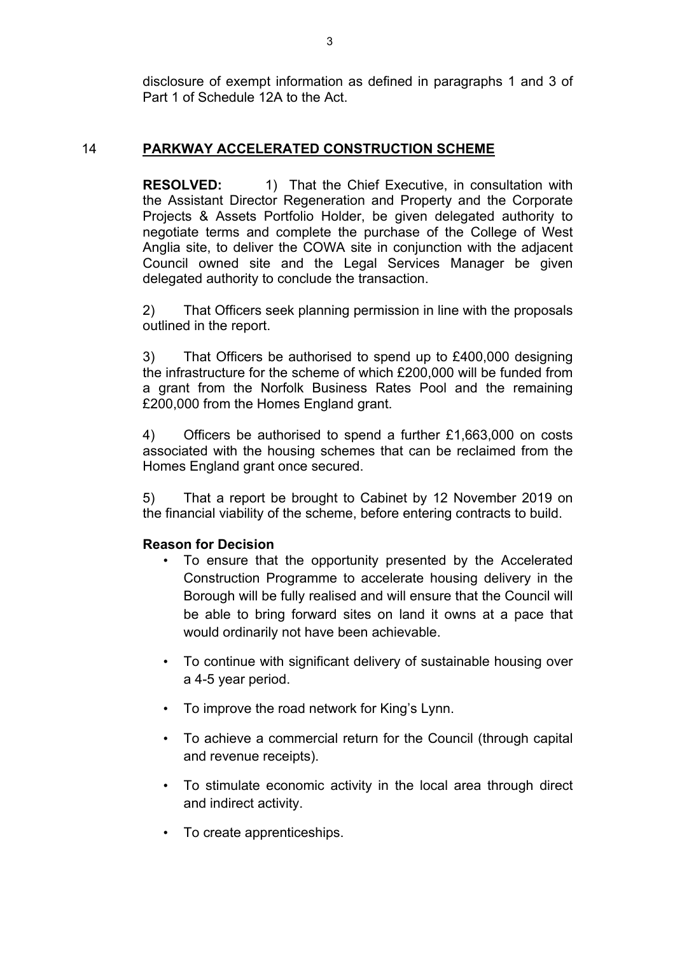disclosure of exempt information as defined in paragraphs 1 and 3 of Part 1 of Schedule 12A to the Act.

# 14 **PARKWAY ACCELERATED CONSTRUCTION SCHEME**

**RESOLVED:** 1) That the Chief Executive, in consultation with the Assistant Director Regeneration and Property and the Corporate Projects & Assets Portfolio Holder, be given delegated authority to negotiate terms and complete the purchase of the College of West Anglia site, to deliver the COWA site in conjunction with the adjacent Council owned site and the Legal Services Manager be given delegated authority to conclude the transaction.

2) That Officers seek planning permission in line with the proposals outlined in the report.

3) That Officers be authorised to spend up to £400,000 designing the infrastructure for the scheme of which £200,000 will be funded from a grant from the Norfolk Business Rates Pool and the remaining £200,000 from the Homes England grant.

4) Officers be authorised to spend a further £1,663,000 on costs associated with the housing schemes that can be reclaimed from the Homes England grant once secured.

5) That a report be brought to Cabinet by 12 November 2019 on the financial viability of the scheme, before entering contracts to build.

# **Reason for Decision**

- To ensure that the opportunity presented by the Accelerated Construction Programme to accelerate housing delivery in the Borough will be fully realised and will ensure that the Council will be able to bring forward sites on land it owns at a pace that would ordinarily not have been achievable.
- To continue with significant delivery of sustainable housing over a 4-5 year period.
- To improve the road network for King's Lynn.
- To achieve a commercial return for the Council (through capital and revenue receipts).
- To stimulate economic activity in the local area through direct and indirect activity.
- To create apprenticeships.